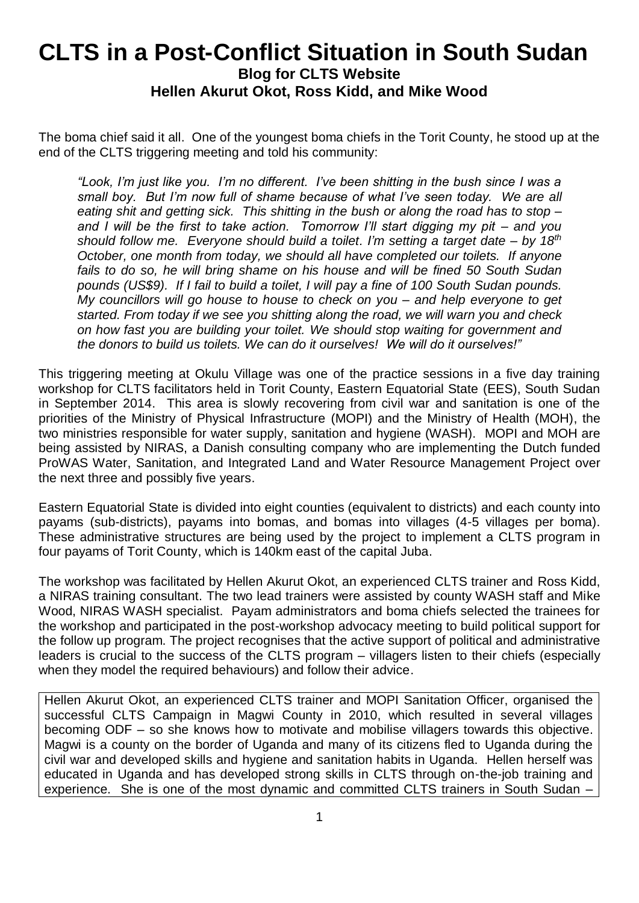## **CLTS in a Post-Conflict Situation in South Sudan Blog for CLTS Website Hellen Akurut Okot, Ross Kidd, and Mike Wood**

The boma chief said it all. One of the youngest boma chiefs in the Torit County, he stood up at the end of the CLTS triggering meeting and told his community:

*"Look, I'm just like you. I'm no different. I've been shitting in the bush since I was a small boy. But I'm now full of shame because of what I've seen today. We are all eating shit and getting sick. This shitting in the bush or along the road has to stop – and I will be the first to take action. Tomorrow I'll start digging my pit – and you should follow me. Everyone should build a toilet. I'm setting a target date – by 18th October, one month from today, we should all have completed our toilets. If anyone fails to do so, he will bring shame on his house and will be fined 50 South Sudan pounds (US\$9). If I fail to build a toilet, I will pay a fine of 100 South Sudan pounds. My councillors will go house to house to check on you – and help everyone to get started. From today if we see you shitting along the road, we will warn you and check on how fast you are building your toilet. We should stop waiting for government and the donors to build us toilets. We can do it ourselves! We will do it ourselves!"*

This triggering meeting at Okulu Village was one of the practice sessions in a five day training workshop for CLTS facilitators held in Torit County, Eastern Equatorial State (EES), South Sudan in September 2014. This area is slowly recovering from civil war and sanitation is one of the priorities of the Ministry of Physical Infrastructure (MOPI) and the Ministry of Health (MOH), the two ministries responsible for water supply, sanitation and hygiene (WASH). MOPI and MOH are being assisted by NIRAS, a Danish consulting company who are implementing the Dutch funded ProWAS Water, Sanitation, and Integrated Land and Water Resource Management Project over the next three and possibly five years.

Eastern Equatorial State is divided into eight counties (equivalent to districts) and each county into payams (sub-districts), payams into bomas, and bomas into villages (4-5 villages per boma). These administrative structures are being used by the project to implement a CLTS program in four payams of Torit County, which is 140km east of the capital Juba.

The workshop was facilitated by Hellen Akurut Okot, an experienced CLTS trainer and Ross Kidd, a NIRAS training consultant. The two lead trainers were assisted by county WASH staff and Mike Wood, NIRAS WASH specialist. Payam administrators and boma chiefs selected the trainees for the workshop and participated in the post-workshop advocacy meeting to build political support for the follow up program. The project recognises that the active support of political and administrative leaders is crucial to the success of the CLTS program – villagers listen to their chiefs (especially when they model the required behaviours) and follow their advice.

Hellen Akurut Okot, an experienced CLTS trainer and MOPI Sanitation Officer, organised the successful CLTS Campaign in Magwi County in 2010, which resulted in several villages becoming ODF – so she knows how to motivate and mobilise villagers towards this objective. Magwi is a county on the border of Uganda and many of its citizens fled to Uganda during the civil war and developed skills and hygiene and sanitation habits in Uganda. Hellen herself was educated in Uganda and has developed strong skills in CLTS through on-the-job training and experience. She is one of the most dynamic and committed CLTS trainers in South Sudan –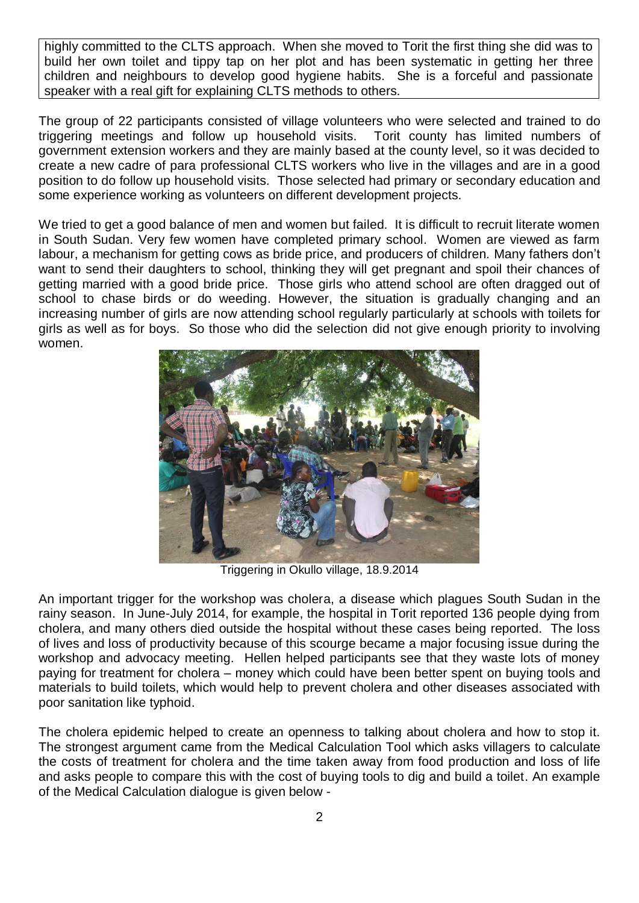highly committed to the CLTS approach. When she moved to Torit the first thing she did was to build her own toilet and tippy tap on her plot and has been systematic in getting her three children and neighbours to develop good hygiene habits. She is a forceful and passionate speaker with a real gift for explaining CLTS methods to others.

The group of 22 participants consisted of village volunteers who were selected and trained to do triggering meetings and follow up household visits. Torit county has limited numbers of government extension workers and they are mainly based at the county level, so it was decided to create a new cadre of para professional CLTS workers who live in the villages and are in a good position to do follow up household visits. Those selected had primary or secondary education and some experience working as volunteers on different development projects.

We tried to get a good balance of men and women but failed. It is difficult to recruit literate women in South Sudan. Very few women have completed primary school. Women are viewed as farm labour, a mechanism for getting cows as bride price, and producers of children. Many fathers don't want to send their daughters to school, thinking they will get pregnant and spoil their chances of getting married with a good bride price. Those girls who attend school are often dragged out of school to chase birds or do weeding. However, the situation is gradually changing and an increasing number of girls are now attending school regularly particularly at schools with toilets for girls as well as for boys. So those who did the selection did not give enough priority to involving women.



Triggering in Okullo village, 18.9.2014

An important trigger for the workshop was cholera, a disease which plagues South Sudan in the rainy season. In June-July 2014, for example, the hospital in Torit reported 136 people dying from cholera, and many others died outside the hospital without these cases being reported. The loss of lives and loss of productivity because of this scourge became a major focusing issue during the workshop and advocacy meeting. Hellen helped participants see that they waste lots of money paying for treatment for cholera – money which could have been better spent on buying tools and materials to build toilets, which would help to prevent cholera and other diseases associated with poor sanitation like typhoid.

The cholera epidemic helped to create an openness to talking about cholera and how to stop it. The strongest argument came from the Medical Calculation Tool which asks villagers to calculate the costs of treatment for cholera and the time taken away from food production and loss of life and asks people to compare this with the cost of buying tools to dig and build a toilet. An example of the Medical Calculation dialogue is given below -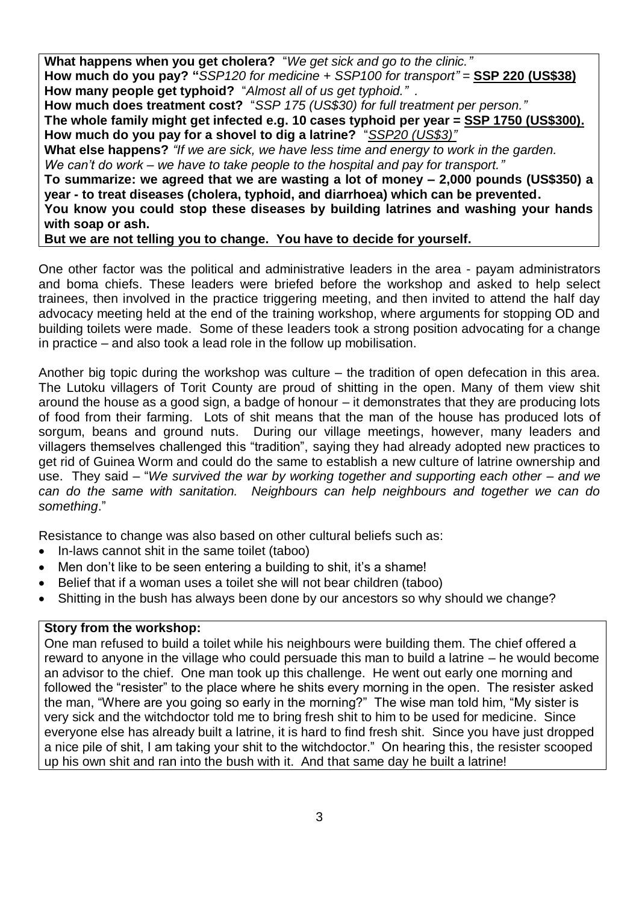**What happens when you get cholera?** "*We get sick and go to the clinic."* **How much do you pay? "***SSP120 for medicine + SSP100 for transport" =* **SSP 220 (US\$38) How many people get typhoid?** "*Almost all of us get typhoid." .*

**How much does treatment cost?** "*SSP 175 (US\$30) for full treatment per person."*

**The whole family might get infected e.g. 10 cases typhoid per year = SSP 1750 (US\$300). How much do you pay for a shovel to dig a latrine?** "*SSP20 (US\$3)"*

**What else happens?** *"If we are sick, we have less time and energy to work in the garden. We can't do work – we have to take people to the hospital and pay for transport."*

**To summarize: we agreed that we are wasting a lot of money – 2,000 pounds (US\$350) a year - to treat diseases (cholera, typhoid, and diarrhoea) which can be prevented.** 

**You know you could stop these diseases by building latrines and washing your hands with soap or ash.**

**But we are not telling you to change. You have to decide for yourself.**

One other factor was the political and administrative leaders in the area - payam administrators and boma chiefs. These leaders were briefed before the workshop and asked to help select trainees, then involved in the practice triggering meeting, and then invited to attend the half day advocacy meeting held at the end of the training workshop, where arguments for stopping OD and building toilets were made. Some of these leaders took a strong position advocating for a change in practice – and also took a lead role in the follow up mobilisation.

Another big topic during the workshop was culture – the tradition of open defecation in this area. The Lutoku villagers of Torit County are proud of shitting in the open. Many of them view shit around the house as a good sign, a badge of honour – it demonstrates that they are producing lots of food from their farming. Lots of shit means that the man of the house has produced lots of sorgum, beans and ground nuts. During our village meetings, however, many leaders and villagers themselves challenged this "tradition", saying they had already adopted new practices to get rid of Guinea Worm and could do the same to establish a new culture of latrine ownership and use. They said – "*We survived the war by working together and supporting each other – and we can do the same with sanitation. Neighbours can help neighbours and together we can do something*."

Resistance to change was also based on other cultural beliefs such as:

- In-laws cannot shit in the same toilet (taboo)
- Men don't like to be seen entering a building to shit, it's a shame!
- Belief that if a woman uses a toilet she will not bear children (taboo)
- Shitting in the bush has always been done by our ancestors so why should we change?

## **Story from the workshop:**

One man refused to build a toilet while his neighbours were building them. The chief offered a reward to anyone in the village who could persuade this man to build a latrine – he would become an advisor to the chief. One man took up this challenge. He went out early one morning and followed the "resister" to the place where he shits every morning in the open. The resister asked the man, "Where are you going so early in the morning?" The wise man told him, "My sister is very sick and the witchdoctor told me to bring fresh shit to him to be used for medicine. Since everyone else has already built a latrine, it is hard to find fresh shit. Since you have just dropped a nice pile of shit, I am taking your shit to the witchdoctor." On hearing this, the resister scooped up his own shit and ran into the bush with it. And that same day he built a latrine!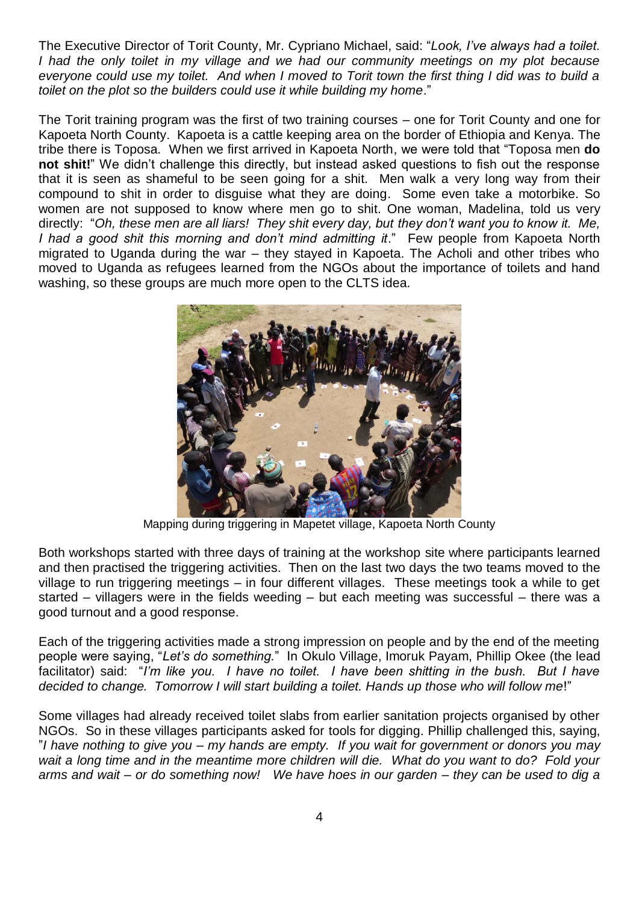The Executive Director of Torit County, Mr. Cypriano Michael, said: "*Look, I've always had a toilet. I had the only toilet in my village and we had our community meetings on my plot because everyone could use my toilet. And when I moved to Torit town the first thing I did was to build a toilet on the plot so the builders could use it while building my home*."

The Torit training program was the first of two training courses – one for Torit County and one for Kapoeta North County. Kapoeta is a cattle keeping area on the border of Ethiopia and Kenya. The tribe there is Toposa. When we first arrived in Kapoeta North, we were told that "Toposa men **do not shit!**" We didn't challenge this directly, but instead asked questions to fish out the response that it is seen as shameful to be seen going for a shit. Men walk a very long way from their compound to shit in order to disguise what they are doing. Some even take a motorbike. So women are not supposed to know where men go to shit. One woman, Madelina, told us very directly: "*Oh, these men are all liars! They shit every day, but they don't want you to know it. Me, I had a good shit this morning and don't mind admitting it*." Few people from Kapoeta North migrated to Uganda during the war – they stayed in Kapoeta. The Acholi and other tribes who moved to Uganda as refugees learned from the NGOs about the importance of toilets and hand washing, so these groups are much more open to the CLTS idea.



Mapping during triggering in Mapetet village, Kapoeta North County

Both workshops started with three days of training at the workshop site where participants learned and then practised the triggering activities. Then on the last two days the two teams moved to the village to run triggering meetings – in four different villages. These meetings took a while to get started – villagers were in the fields weeding – but each meeting was successful – there was a good turnout and a good response.

Each of the triggering activities made a strong impression on people and by the end of the meeting people were saying, "*Let's do something.*" In Okulo Village, Imoruk Payam, Phillip Okee (the lead facilitator) said: "*I'm like you. I have no toilet. I have been shitting in the bush. But I have decided to change. Tomorrow I will start building a toilet. Hands up those who will follow me*!"

Some villages had already received toilet slabs from earlier sanitation projects organised by other NGOs. So in these villages participants asked for tools for digging. Phillip challenged this, saying, "*I have nothing to give you – my hands are empty. If you wait for government or donors you may wait a long time and in the meantime more children will die. What do you want to do? Fold your arms and wait – or do something now! We have hoes in our garden – they can be used to dig a*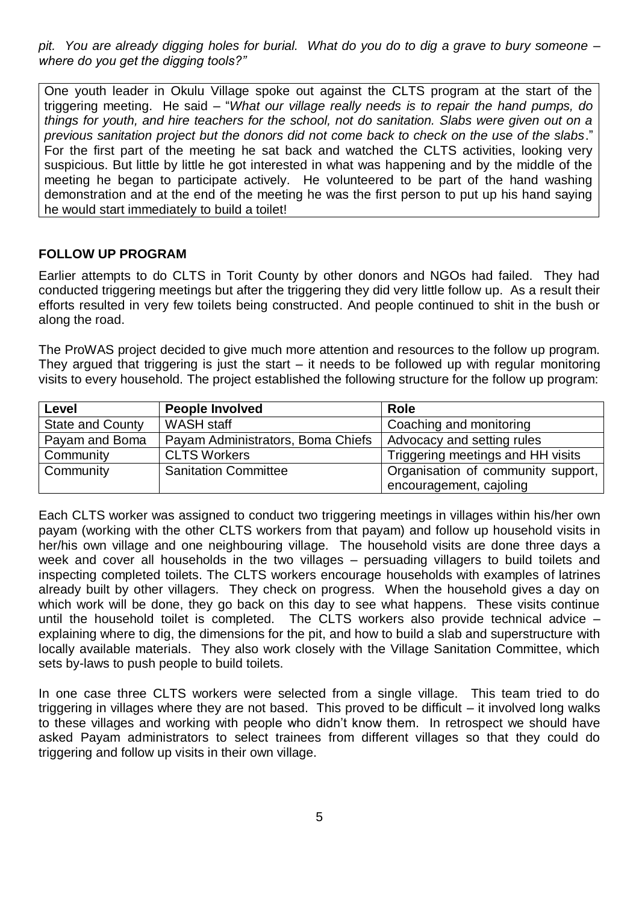*pit. You are already digging holes for burial. What do you do to dig a grave to bury someone – where do you get the digging tools?"*

One youth leader in Okulu Village spoke out against the CLTS program at the start of the triggering meeting. He said – "*What our village really needs is to repair the hand pumps, do things for youth, and hire teachers for the school, not do sanitation. Slabs were given out on a previous sanitation project but the donors did not come back to check on the use of the slabs*." For the first part of the meeting he sat back and watched the CLTS activities, looking very suspicious. But little by little he got interested in what was happening and by the middle of the meeting he began to participate actively. He volunteered to be part of the hand washing demonstration and at the end of the meeting he was the first person to put up his hand saying he would start immediately to build a toilet!

## **FOLLOW UP PROGRAM**

Earlier attempts to do CLTS in Torit County by other donors and NGOs had failed. They had conducted triggering meetings but after the triggering they did very little follow up. As a result their efforts resulted in very few toilets being constructed. And people continued to shit in the bush or along the road.

The ProWAS project decided to give much more attention and resources to the follow up program. They argued that triggering is just the start – it needs to be followed up with regular monitoring visits to every household. The project established the following structure for the follow up program:

| Level                   | <b>People Involved</b>            | <b>Role</b>                        |
|-------------------------|-----------------------------------|------------------------------------|
| <b>State and County</b> | <b>WASH</b> staff                 | Coaching and monitoring            |
| Payam and Boma          | Payam Administrators, Boma Chiefs | Advocacy and setting rules         |
| Community               | <b>CLTS Workers</b>               | Triggering meetings and HH visits  |
| Community               | <b>Sanitation Committee</b>       | Organisation of community support, |
|                         |                                   | encouragement, cajoling            |

Each CLTS worker was assigned to conduct two triggering meetings in villages within his/her own payam (working with the other CLTS workers from that payam) and follow up household visits in her/his own village and one neighbouring village. The household visits are done three days a week and cover all households in the two villages – persuading villagers to build toilets and inspecting completed toilets. The CLTS workers encourage households with examples of latrines already built by other villagers. They check on progress. When the household gives a day on which work will be done, they go back on this day to see what happens. These visits continue until the household toilet is completed. The CLTS workers also provide technical advice – explaining where to dig, the dimensions for the pit, and how to build a slab and superstructure with locally available materials. They also work closely with the Village Sanitation Committee, which sets by-laws to push people to build toilets.

In one case three CLTS workers were selected from a single village. This team tried to do triggering in villages where they are not based. This proved to be difficult – it involved long walks to these villages and working with people who didn't know them. In retrospect we should have asked Payam administrators to select trainees from different villages so that they could do triggering and follow up visits in their own village.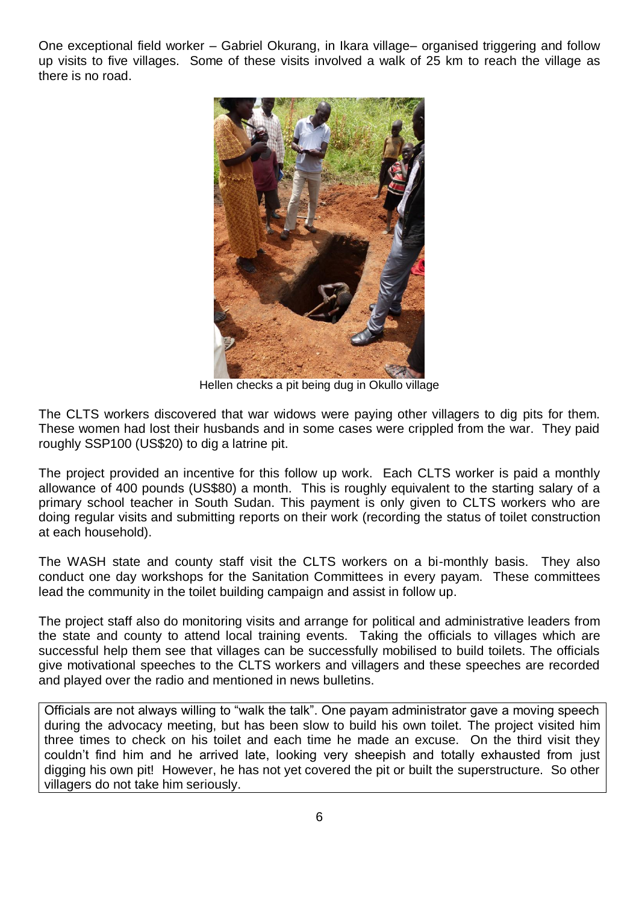One exceptional field worker – Gabriel Okurang, in Ikara village– organised triggering and follow up visits to five villages. Some of these visits involved a walk of 25 km to reach the village as there is no road.



Hellen checks a pit being dug in Okullo village

The CLTS workers discovered that war widows were paying other villagers to dig pits for them. These women had lost their husbands and in some cases were crippled from the war. They paid roughly SSP100 (US\$20) to dig a latrine pit.

The project provided an incentive for this follow up work. Each CLTS worker is paid a monthly allowance of 400 pounds (US\$80) a month. This is roughly equivalent to the starting salary of a primary school teacher in South Sudan. This payment is only given to CLTS workers who are doing regular visits and submitting reports on their work (recording the status of toilet construction at each household).

The WASH state and county staff visit the CLTS workers on a bi-monthly basis. They also conduct one day workshops for the Sanitation Committees in every payam. These committees lead the community in the toilet building campaign and assist in follow up.

The project staff also do monitoring visits and arrange for political and administrative leaders from the state and county to attend local training events. Taking the officials to villages which are successful help them see that villages can be successfully mobilised to build toilets. The officials give motivational speeches to the CLTS workers and villagers and these speeches are recorded and played over the radio and mentioned in news bulletins.

Officials are not always willing to "walk the talk". One payam administrator gave a moving speech during the advocacy meeting, but has been slow to build his own toilet. The project visited him three times to check on his toilet and each time he made an excuse. On the third visit they couldn't find him and he arrived late, looking very sheepish and totally exhausted from just digging his own pit! However, he has not yet covered the pit or built the superstructure. So other villagers do not take him seriously.